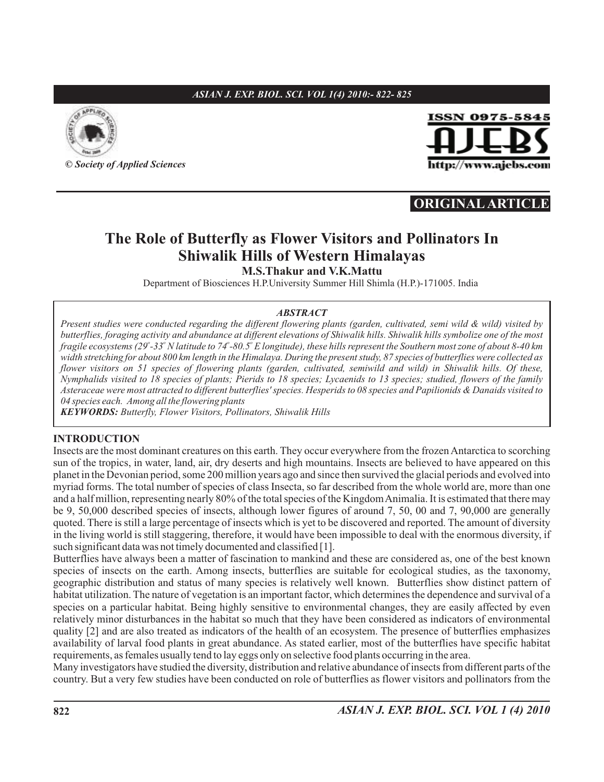## *ASIAN J. EXP. BIOL. SCI. VOL 1(4) 2010:- 822- 825*



**©** *Society of Applied Sciences*



# **ORIGINAL ARTICLE**

## **The Role of Butterfly as Flower Visitors and Pollinators In Shiwalik Hills of Western Himalayas M.S.Thakur and V.K.Mattu**

Department of Biosciences H.P.University Summer Hill Shimla (H.P.)-171005. India

#### *ABSTRACT*

*Present studies were conducted regarding the different flowering plants (garden, cultivated, semi wild & wild) visited by butterflies, foraging activity and abundance at different elevations of Shiwalik hills. Shiwalik hills symbolize one of the most fragile ecosystems (29 -33 N latitude to 74 -80.5 E longitude), these hills represent the Southern most zone of about 8-40 km o o o o width stretching for about 800 km length in the Himalaya. During the present study, 87 species of butterflies were collected as flower visitors on 51 species of flowering plants (garden, cultivated, semiwild and wild) in Shiwalik hills. Of these, Nymphalids visited to 18 species of plants; Pierids to 18 species; Lycaenids to 13 species; studied, flowers of the family Asteraceae were most attracted to different butterflies' species. Hesperids to 08 species and Papilionids & Danaids visited to 04 species each. Among all the flowering plants*

*KEYWORDS: Butterfly, Flower Visitors, Pollinators, Shiwalik Hills*

### **INTRODUCTION**

Insects are the most dominant creatures on this earth. They occur everywhere from the frozen Antarctica to scorching sun of the tropics, in water, land, air, dry deserts and high mountains. Insects are believed to have appeared on this planet in the Devonian period, some 200 million years ago and since then survived the glacial periods and evolved into myriad forms. The total number of species of class Insecta, so far described from the whole world are, more than one and a half million, representing nearly 80% of the total species of the KingdomAnimalia. It is estimated that there may be 9, 50,000 described species of insects, although lower figures of around 7, 50, 00 and 7, 90,000 are generally quoted. There is still a large percentage of insects which is yet to be discovered and reported. The amount of diversity in the living world is still staggering, therefore, it would have been impossible to deal with the enormous diversity, if such significant data was not timely documented and classified [1].

Butterflies have always been a matter of fascination to mankind and these are considered as, one of the best known species of insects on the earth. Among insects, butterflies are suitable for ecological studies, as the taxonomy, geographic distribution and status of many species is relatively well known. Butterflies show distinct pattern of habitat utilization. The nature of vegetation is an important factor, which determines the dependence and survival of a species on a particular habitat. Being highly sensitive to environmental changes, they are easily affected by even relatively minor disturbances in the habitat so much that they have been considered as indicators of environmental quality [2] and are also treated as indicators of the health of an ecosystem. The presence of butterflies emphasizes availability of larval food plants in great abundance. As stated earlier, most of the butterflies have specific habitat requirements, as females usually tend to lay eggs only on selective food plants occurring in the area.

Many investigators have studied the diversity, distribution and relative abundance of insects from different parts of the country. But a very few studies have been conducted on role of butterflies as flower visitors and pollinators from the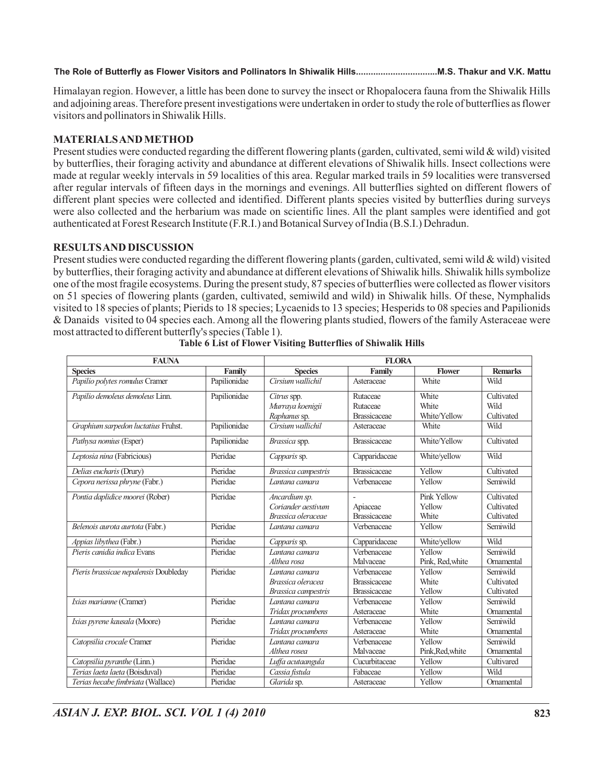**The Role of Butterfly as Flower Visitors and Pollinators In Shiwalik Hills.................................M.S. Thakur and V.K. Mattu**

Himalayan region. However, a little has been done to survey the insect or Rhopalocera fauna from the Shiwalik Hills and adjoining areas. Therefore present investigations were undertaken in order to study the role of butterflies as flower visitors and pollinators in Shiwalik Hills.

### **MATERIALSANDMETHOD**

Present studies were conducted regarding the different flowering plants (garden, cultivated, semi wild & wild) visited by butterflies, their foraging activity and abundance at different elevations of Shiwalik hills. Insect collections were made at regular weekly intervals in 59 localities of this area. Regular marked trails in 59 localities were transversed after regular intervals of fifteen days in the mornings and evenings. All butterflies sighted on different flowers of different plant species were collected and identified. Different plants species visited by butterflies during surveys were also collected and the herbarium was made on scientific lines. All the plant samples were identified and got authenticated at Forest Research Institute (F.R.I.) and Botanical Survey of India (B.S.I.) Dehradun.

### **RESULTSAND DISCUSSION**

Present studies were conducted regarding the different flowering plants (garden, cultivated, semi wild & wild) visited by butterflies, their foraging activity and abundance at different elevations of Shiwalik hills. Shiwalik hills symbolize one of the most fragile ecosystems. During the present study, 87 species of butterflies were collected as flower visitors on 51 species of flowering plants (garden, cultivated, semiwild and wild) in Shiwalik hills. Of these, Nymphalids visited to 18 species of plants; Pierids to 18 species; Lycaenids to 13 species; Hesperids to 08 species and Papilionids & Danaids visited to 04 species each. Among all the flowering plants studied, flowers of the family Asteraceae were most attracted to different butterfly's species (Table 1).

| <b>FAUNA</b>                          | <b>FLORA</b> |                     |                     |                  |                |
|---------------------------------------|--------------|---------------------|---------------------|------------------|----------------|
| <b>Species</b>                        | Family       | <b>Species</b>      | Family              | <b>Flower</b>    | <b>Remarks</b> |
| Papilio polytes romulus Cramer        | Papilionidae | Cirsium wallichil   | Asteraceae          | White            | Wild           |
| Papilio demoleus demoleus Linn.       | Papilionidae | Citrus spp.         | Rutaceae            | White            | Cultivated     |
|                                       |              | Murraya koenigii    | Rutaceae            | White            | Wild           |
|                                       |              | Raphanus sp.        | <b>Brassicaceae</b> | White/Yellow     | Cultivated     |
| Graphium sarpedon luctatius Fruhst.   | Papilionidae | Cirsium wallichil   | Asteraceae          | White            | Wild           |
| Pathysa nomius (Esper)                | Papilionidae | Brassica spp.       | <b>Brassicaceae</b> | White/Yellow     | Cultivated     |
| Leptosia nina (Fabricious)            | Pieridae     | Capparis sp.        | Capparidaceae       | White/yellow     | Wild           |
| Delias eucharis (Drury)               | Pieridae     | Brassica campestris | <b>Brassicaceae</b> | Yellow           | Cultivated     |
| Cepora nerissa phryne (Fabr.)         | Pieridae     | Lantana camara      | Verbenaceae         | Yellow           | Semiwild       |
| Pontia daplidice moorei (Rober)       | Pieridae     | Ancardium sp.       |                     | Pink Yellow      | Cultivated     |
|                                       |              | Coriander aestivum  | Apiaceae            | Yellow           | Cultivated     |
|                                       |              | Brassica oleraceae  | <b>Brassicaceae</b> | White            | Cultivated     |
| Belenois aurota aurtota (Fabr.)       | Pieridae     | Lantana camara      | Verbenaceae         | Yellow           | Semiwild       |
| Appias libythea (Fabr.)               | Pieridae     | Capparis sp.        | Capparidaceae       | White/yellow     | Wild           |
| Pieris canidia indica Evans           | Pieridae     | Lantana camara      | Verbenaceae         | Yellow           | Semiwild       |
|                                       |              | Althea rosa         | Malvaceae           | Pink, Red, white | Ornamental     |
| Pieris brassicae nepalensis Doubleday | Pieridae     | Lantana camara      | Verbenaceae         | Yellow           | Semiwild       |
|                                       |              | Brassica oleracea   | <b>Brassicaceae</b> | White            | Cultivated     |
|                                       |              | Brassica campestris | <b>Brassicaceae</b> | Yellow           | Cultivated     |
| Ixias marianne (Cramer)               | Pieridae     | Lantana camara      | Verbenaceae         | Yellow           | Semiwild       |
|                                       |              | Tridax procumbens   | Asteraceae          | White            | Ornamental     |
| Ixias pyrene kausala (Moore)          | Pieridae     | Lantana camara      | Verbenaceae         | Yellow           | Semiwild       |
|                                       |              | Tridax procumbens   | Asteraceae          | White            | Ornamental     |
| Catopsilia crocale Cramer             | Pieridae     | Lantana camara      | Verbenaceae         | Yellow           | Semiwild       |
|                                       |              | Althea rosea        | Malvaceae           | Pink, Red, white | Ornamental     |
| Catopsilia pyranthe (Linn.)           | Pieridae     | Luffa acutaangula   | Cucurbitaceae       | Yellow           | Cultivared     |
| Terias laeta laeta (Boisduval)        | Pieridae     | Cassia fistula      | Fabaceae            | Yellow           | Wild           |
| Terias hecabe fimbriata (Wallace)     | Pieridae     | Glarida sp.         | Asteraceae          | Yellow           | Ornamental     |

**Table 6 List of Flower Visiting Butterflies of Shiwalik Hills**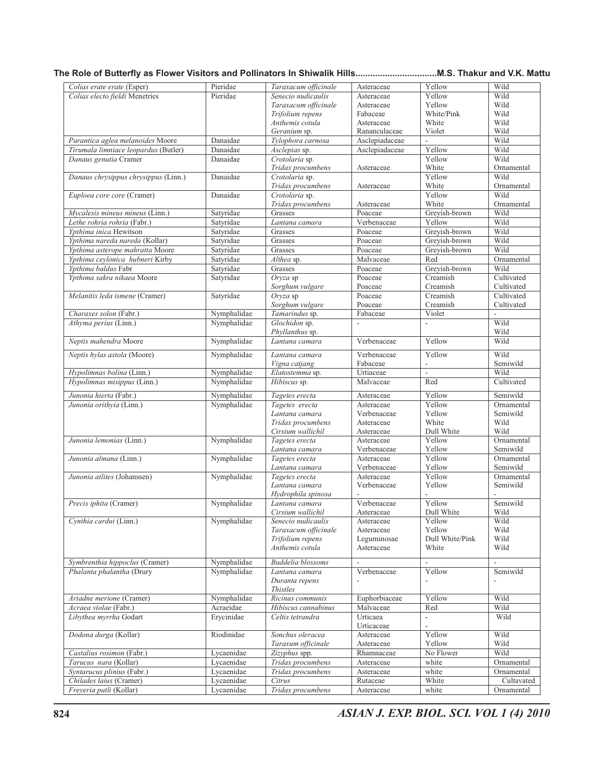## **The Role of Butterfly as Flower Visitors and Pollinators In Shiwalik Hills.................................M.S. Thakur and V.K. Mattu**

| Colias erate erate (Esper)           | Pieridae    | Taraxacum officinale | Asteraceae               | Yellow                   | Wild           |
|--------------------------------------|-------------|----------------------|--------------------------|--------------------------|----------------|
| Colias electo fieldi Menetries       | Pieridae    | Senecio nudicaulis   | Asteraceae               | Yellow                   | Wild           |
|                                      |             | Taraxacum officinale | Asteraceae               | Yellow                   | Wild           |
|                                      |             | Trifolium repens     | Fabaceae                 | White/Pink               | Wild           |
|                                      |             | Anthemis cotula      | Asteraceae               | White                    | Wild           |
|                                      |             | Geranium sp.         | Rananculaceae            | Violet                   | Wild           |
| Parantica aglea melanoides Moore     | Danaidae    | Tylophora carnosa    | Asclepiadaceae           | $\overline{\phantom{m}}$ | Wild           |
| Tirumala limniace leopardus (Butler) | Danaidae    | Asclepias sp.        | Asclepiadaceae           | Yellow                   | Wild           |
| Danaus genutia Cramer                | Danaidae    | Crotolaria sp.       |                          | Yellow                   | Wild           |
|                                      |             | Tridax procumbens    | Asteraceae               | White                    | Ornamental     |
| Danaus chrysippus chrysippus (Linn.) | Danaidae    | Crotolaria sp.       |                          | Yellow                   | Wild           |
|                                      |             | Tridax procumbens    | Asteraceae               | White                    | Ornamental     |
| Euploea core core (Cramer)           | Danaidae    | Crotolaria sp.       |                          | Yellow                   | Wild           |
|                                      |             | Tridax procumbens    | Asteraceae               | White                    | Ornamental     |
| Mycalesis mineus mineus (Linn.)      | Satyridae   | Grasses              | Poaceae                  | Greyish-brown            | Wild           |
| Lethe rohria rohria (Fabr.)          | Satyridae   | Lantana camara       | Verbenaceae              | Yellow                   | Wild           |
|                                      |             |                      |                          |                          | Wild           |
| Ypthima inica Hewitson               | Satyridae   | Grasses              | Poaceae                  | Greyish-brown            |                |
| Ypthima nareda nareda (Kollar)       | Satyridae   | Grasses              | Poaceae                  | Grevish-brown            | Wild           |
| Ypthima asterope mahratta Moore      | Satyridae   | Grasses              | Poaceae                  | Grevish-brown            | Wild           |
| Ypthima ceylonica hubneri Kirby      | Satyridae   | Althea sp.           | Malvaceae                | Red                      | Ornamental     |
| Ypthima baldus Fabr                  | Satyridae   | Grasses              | Poaceae                  | Greyish-brown            | Wild           |
| Ypthima sakra nikaea Moore           | Satyridae   | Orvza sp             | Poaceae                  | Creamish                 | Cultivated     |
|                                      |             | Sorghum vulgare      | Poaceae                  | Creamish                 | Cultivated     |
| Melanitis leda ismene (Cramer)       | Satyridae   | Oryza sp             | Poaceae                  | Creamish                 | Cultivated     |
|                                      |             | Sorghum vulgare      | Poaceae                  | Creamish                 | Cultivated     |
| Charaxes solon (Fabr.)               | Nymphalidae | Tamarindus sp.       | Fabaceae                 | Violet                   | $\overline{a}$ |
| Athyma perius (Linn.)                | Nymphalidae | Glochidon sp.        | $\overline{a}$           | $\overline{\phantom{a}}$ | Wild           |
|                                      |             | Phyllanthus sp.      |                          |                          | Wild           |
| Neptis mahendra Moore                | Nymphalidae | Lantana camara       | Verbenaceae              | Yellow                   | Wild           |
| Neptis hylas astola (Moore)          | Nymphalidae | Lantana camara       | Verbenaceae              | Yellow                   | Wild           |
|                                      |             | Vigna catjang        | Fabaceae                 | $\overline{\phantom{a}}$ | Semiwild       |
| Hypolimnas bolina (Linn.)            | Nymphalidae | Elatostemma sp.      | Urtiaceae                | $\frac{1}{2}$            | Wild           |
| Hypolimnas misippus (Linn.)          | Nymphalidae | Hibiscus sp.         | Malvaceae                | Red                      | Cultivated     |
|                                      |             |                      |                          |                          |                |
| Junonia hierta (Fabr.)               | Nymphalidae | Tagetes erecta       | Asteraceae               | Yellow                   | Semiwild       |
| Junonia orithyia (Linn.)             | Nymphalidae | Tagetes erecta       | Asteraceae               | Yellow                   | Ornamental     |
|                                      |             | Lantana camara       | Verbenaceae              | Yellow                   | Semiwild       |
|                                      |             | Tridax procumbens    | Asteraceae               | White                    | Wild           |
|                                      |             | Cirsium wallichil    | Asteraceae               | Dull White               | Wild           |
| Junonia lemonias (Linn.)             | Nymphalidae | Tagetes erecta       | Asteraceae               | Yellow                   | Ornamental     |
|                                      |             | Lantana camara       | Verbenaceae              | Yellow                   | Semiwild       |
| Junonia almana (Linn.)               | Nymphalidae | Tagetes erecta       | Asteraceae               | Yellow                   | Ornamental     |
|                                      |             | Lantana camara       | Verbenaceae              | Yellow                   | Semiwild       |
| Junonia atlites (Johanssen)          | Nymphalidae | Tagetes erecta       | Asteraceae               | Yellow                   | Ornamental     |
|                                      |             | Lantana camara       | Verbenaceae              | Yellow                   | Semiwild       |
|                                      |             | Hydrophila spinosa   |                          |                          |                |
| Precis iphita (Cramer)               | Nymphalidae | Lantana camara       | Verbenaceae              | Yellow                   | Semiwild       |
|                                      |             | Cirsium wallichil    | Asteraceae               | Dull White               | Wild           |
| Cynthia cardui (Linn.)               | Nymphalidae | Senecio nudicaulis   | Asteraceae               | Yellow                   | Wild           |
|                                      |             | Taraxacum officinale | Asteraceae               | Yellow                   | Wild           |
|                                      |             | Trifolium repens     | Leguminosae              | Dull White/Pink          | Wild           |
|                                      |             | Anthemis cotula      | Asteraceae               | White                    | Wild           |
|                                      |             |                      |                          |                          |                |
| Symbrenthia hippoclus (Cramer)       | Nymphalidae | Buddelia blossoms    | $\overline{\phantom{a}}$ | $\overline{\phantom{a}}$ | $\frac{1}{2}$  |
| Phalanta phalantha (Drury            | Nymphalidae | Lantana camara       | Verbenaceae              | Yellow                   | Semiwild       |
|                                      |             | Duranta repens       | $\overline{a}$           |                          |                |
|                                      |             | <b>Thistles</b>      |                          |                          |                |
| Ariadne merione (Cramer)             | Nymphalidae | Ricinus communis     | Euphorbiaceae            | Yellow                   | Wild           |
| Acraea violae (Fabr.)                | Acraeidae   | Hibiscus cannabinus  | Malvaceae                | Red                      | Wild           |
| Libythea myrrha Godart               | Erycinidae  | Celtis tetrandra     | Urticaea                 | $\overline{\phantom{a}}$ | Wild           |
|                                      |             |                      | Urticaceae               | $\overline{a}$           |                |
| Dodona durga (Kollar)                | Riodinidae  | Sonchus oleracea     | Asteraceae               | Yellow                   | Wild           |
|                                      |             | Taraxum officinale   | Asteraceae               | Yellow                   | Wild           |
| Castalius rosimon (Fabr.)            | Lycaenidae  | Zizyphus spp.        | Rhamnaceae               | No Flower                | Wild           |
| Tarucus nara (Kollar)                | Lycaenidae  | Tridax procumbens    | Asteraceae               | white                    | Ornamental     |
| Syntarucus plinius (Fabr.)           | Lycaenidae  | Tridax procumbens    | Asteraceae               | white                    | Ornamental     |
| Chilades laius (Cramer)              | Lycaenidae  | Citrus               | Rutaceae                 | White                    | Cultavated     |
|                                      |             |                      |                          |                          |                |
| Freyeria putli (Kollar)              | Lycaenidae  | Tridax procumbens    | Asteraceae               | white                    | Ornamental     |

**824** *ASIAN J. EXP. BIOL. SCI. VOL 1 (4) 2010*